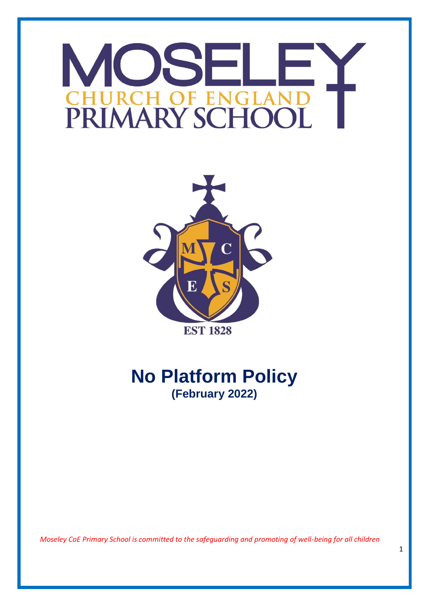# OSE M **HOFEN** PRIMARY SCHO



## **No Platform Policy (February 2022)**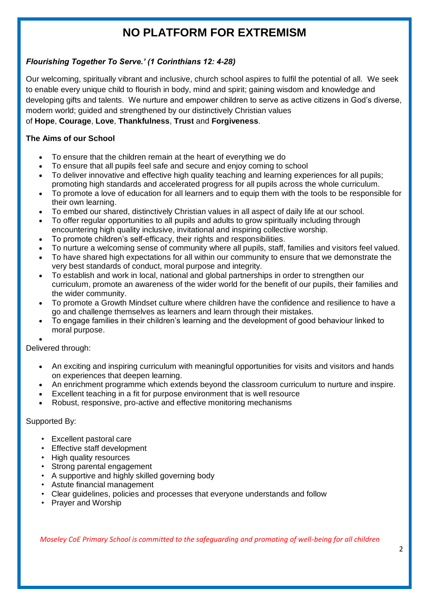### **NO PLATFORM FOR EXTREMISM**

#### *Flourishing Together To Serve.' (1 Corinthians 12: 4-28)*

Our welcoming, spiritually vibrant and inclusive, church school aspires to fulfil the potential of all. We seek to enable every unique child to flourish in body, mind and spirit; gaining wisdom and knowledge and developing gifts and talents. We nurture and empower children to serve as active citizens in God's diverse, modern world; guided and strengthened by our distinctively Christian values

#### of **Hope**, **Courage**, **Love**, **Thankfulness**, **Trust** and **Forgiveness**.

#### **The Aims of our School**

- To ensure that the children remain at the heart of everything we do
- To ensure that all pupils feel safe and secure and enjoy coming to school
- To deliver innovative and effective high quality teaching and learning experiences for all pupils; promoting high standards and accelerated progress for all pupils across the whole curriculum.
- To promote a love of education for all learners and to equip them with the tools to be responsible for their own learning.
- To embed our shared, distinctively Christian values in all aspect of daily life at our school.
- To offer regular opportunities to all pupils and adults to grow spiritually including through encountering high quality inclusive, invitational and inspiring collective worship.
- To promote children's self-efficacy, their rights and responsibilities.
- To nurture a welcoming sense of community where all pupils, staff, families and visitors feel valued.
- To have shared high expectations for all within our community to ensure that we demonstrate the very best standards of conduct, moral purpose and integrity.
- To establish and work in local, national and global partnerships in order to strengthen our curriculum, promote an awareness of the wider world for the benefit of our pupils, their families and the wider community.
- To promote a Growth Mindset culture where children have the confidence and resilience to have a go and challenge themselves as learners and learn through their mistakes.
- To engage families in their children's learning and the development of good behaviour linked to moral purpose.

 $\bullet$ Delivered through:

- An exciting and inspiring curriculum with meaningful opportunities for visits and visitors and hands on experiences that deepen learning.
- An enrichment programme which extends beyond the classroom curriculum to nurture and inspire.
- Excellent teaching in a fit for purpose environment that is well resource
- Robust, responsive, pro-active and effective monitoring mechanisms

#### Supported By:

- Excellent pastoral care
- Effective staff development
- High quality resources
- Strong parental engagement
- A supportive and highly skilled governing body
- Astute financial management
- Clear guidelines, policies and processes that everyone understands and follow
- Prayer and Worship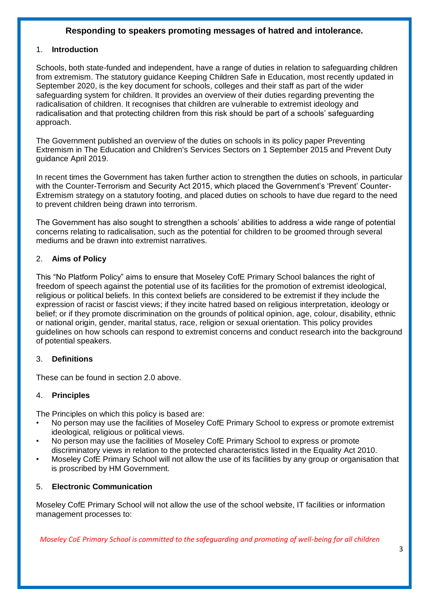#### **Responding to speakers promoting messages of hatred and intolerance.**

#### 1. **Introduction**

Schools, both state-funded and independent, have a range of duties in relation to safeguarding children from extremism. The statutory guidance Keeping Children Safe in Education, most recently updated in September 2020, is the key document for schools, colleges and their staff as part of the wider safeguarding system for children. It provides an overview of their duties regarding preventing the radicalisation of children. It recognises that children are vulnerable to extremist ideology and radicalisation and that protecting children from this risk should be part of a schools' safeguarding approach.

The Government published an overview of the duties on schools in its policy paper Preventing Extremism in The Education and Children's Services Sectors on 1 September 2015 and Prevent Duty guidance April 2019.

In recent times the Government has taken further action to strengthen the duties on schools, in particular with the Counter-Terrorism and Security Act 2015, which placed the Government's 'Prevent' Counter-Extremism strategy on a statutory footing, and placed duties on schools to have due regard to the need to prevent children being drawn into terrorism.

The Government has also sought to strengthen a schools' abilities to address a wide range of potential concerns relating to radicalisation, such as the potential for children to be groomed through several mediums and be drawn into extremist narratives.

#### 2. **Aims of Policy**

This "No Platform Policy" aims to ensure that Moseley CofE Primary School balances the right of freedom of speech against the potential use of its facilities for the promotion of extremist ideological, religious or political beliefs. In this context beliefs are considered to be extremist if they include the expression of racist or fascist views; if they incite hatred based on religious interpretation, ideology or belief; or if they promote discrimination on the grounds of political opinion, age, colour, disability, ethnic or national origin, gender, marital status, race, religion or sexual orientation. This policy provides guidelines on how schools can respond to extremist concerns and conduct research into the background of potential speakers.

#### 3. **Definitions**

These can be found in section 2.0 above.

#### 4. **Principles**

The Principles on which this policy is based are:

- No person may use the facilities of Moseley CofE Primary School to express or promote extremist ideological, religious or political views.
- No person may use the facilities of Moseley CofE Primary School to express or promote discriminatory views in relation to the protected characteristics listed in the Equality Act 2010.
- Moseley CofE Primary School will not allow the use of its facilities by any group or organisation that is proscribed by HM Government.

#### 5. **Electronic Communication**

Moseley CofE Primary School will not allow the use of the school website, IT facilities or information management processes to: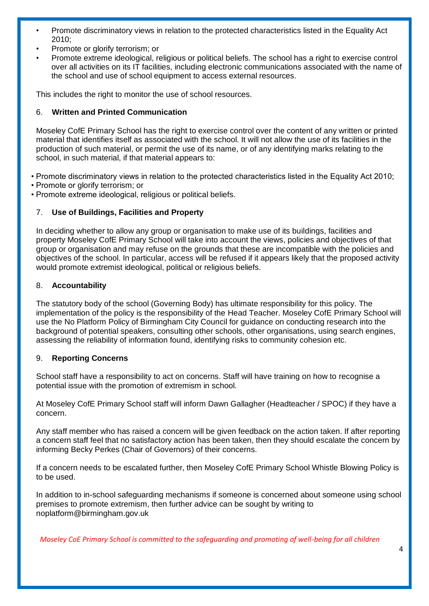- Promote discriminatory views in relation to the protected characteristics listed in the Equality Act 2010;
- Promote or glorify terrorism; or
- Promote extreme ideological, religious or political beliefs. The school has a right to exercise control over all activities on its IT facilities, including electronic communications associated with the name of the school and use of school equipment to access external resources.

This includes the right to monitor the use of school resources.

#### 6. **Written and Printed Communication**

Moseley CofE Primary School has the right to exercise control over the content of any written or printed material that identifies itself as associated with the school. It will not allow the use of its facilities in the production of such material, or permit the use of its name, or of any identifying marks relating to the school, in such material, if that material appears to:

• Promote discriminatory views in relation to the protected characteristics listed in the Equality Act 2010;

- Promote or glorify terrorism; or
- Promote extreme ideological, religious or political beliefs.

#### 7. **Use of Buildings, Facilities and Property**

In deciding whether to allow any group or organisation to make use of its buildings, facilities and property Moseley CofE Primary School will take into account the views, policies and objectives of that group or organisation and may refuse on the grounds that these are incompatible with the policies and objectives of the school. In particular, access will be refused if it appears likely that the proposed activity would promote extremist ideological, political or religious beliefs.

#### 8. **Accountability**

The statutory body of the school (Governing Body) has ultimate responsibility for this policy. The implementation of the policy is the responsibility of the Head Teacher. Moseley CofE Primary School will use the No Platform Policy of Birmingham City Council for guidance on conducting research into the background of potential speakers, consulting other schools, other organisations, using search engines, assessing the reliability of information found, identifying risks to community cohesion etc.

#### 9. **Reporting Concerns**

School staff have a responsibility to act on concerns. Staff will have training on how to recognise a potential issue with the promotion of extremism in school.

At Moseley CofE Primary School staff will inform Dawn Gallagher (Headteacher / SPOC) if they have a concern.

Any staff member who has raised a concern will be given feedback on the action taken. If after reporting a concern staff feel that no satisfactory action has been taken, then they should escalate the concern by informing Becky Perkes (Chair of Governors) of their concerns.

If a concern needs to be escalated further, then Moseley CofE Primary School Whistle Blowing Policy is to be used.

In addition to in-school safeguarding mechanisms if someone is concerned about someone using school premises to promote extremism, then further advice can be sought by writing to noplatform@birmingham.gov.uk